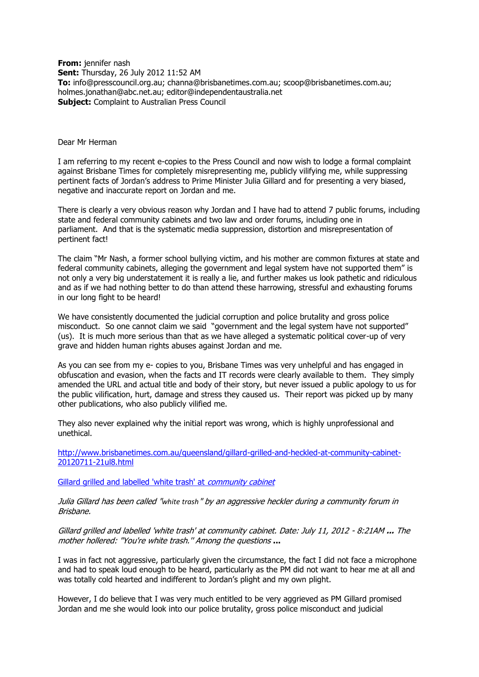**From:** jennifer nash **Sent:** Thursday, 26 July 2012 11:52 AM **To:** info@presscouncil.org.au; channa@brisbanetimes.com.au; scoop@brisbanetimes.com.au; holmes.jonathan@abc.net.au; editor@independentaustralia.net **Subject:** Complaint to Australian Press Council

## Dear Mr Herman

I am referring to my recent e-copies to the Press Council and now wish to lodge a formal complaint against Brisbane Times for completely misrepresenting me, publicly vilifying me, while suppressing pertinent facts of Jordan's address to Prime Minister Julia Gillard and for presenting a very biased, negative and inaccurate report on Jordan and me.

There is clearly a very obvious reason why Jordan and I have had to attend 7 public forums, including state and federal community cabinets and two law and order forums, including one in parliament. And that is the systematic media suppression, distortion and misrepresentation of pertinent fact!

The claim "Mr Nash, a former school bullying victim, and his mother are common fixtures at state and federal community cabinets, alleging the government and legal system have not supported them" is not only a very big understatement it is really a lie, and further makes us look pathetic and ridiculous and as if we had nothing better to do than attend these harrowing, stressful and exhausting forums in our long fight to be heard!

We have consistently documented the judicial corruption and police brutality and gross police misconduct. So one cannot claim we said "government and the legal system have not supported" (us). It is much more serious than that as we have alleged a systematic political cover-up of very grave and hidden human rights abuses against Jordan and me.

As you can see from my e- copies to you, Brisbane Times was very unhelpful and has engaged in obfuscation and evasion, when the facts and IT records were clearly available to them. They simply amended the URL and actual title and body of their story, but never issued a public apology to us for the public vilification, hurt, damage and stress they caused us. Their report was picked up by many other publications, who also publicly vilified me.

They also never explained why the initial report was wrong, which is highly unprofessional and unethical.

[http://www.brisbanetimes.com.au/queensland/gillard-grilled-and-heckled-at-community-cabinet-](http://www.brisbanetimes.com.au/queensland/gillard-grilled-and-heckled-at-community-cabinet-20120711-21ul8.html)[20120711-21ul8.html](http://www.brisbanetimes.com.au/queensland/gillard-grilled-and-heckled-at-community-cabinet-20120711-21ul8.html)

[Gillard grilled and labelled 'white trash' at](http://www.brisbanetimes.com.au/queensland/gillard-grilled-and-labelled-white-trash-at-community-cabinet-20120711-21ul8.html) *community cabinet* 

Julia Gillard has been called "*white trash*" by an aggressive heckler during a community forum in Brisbane.

Gillard grilled and labelled 'white trash' at community cabinet. Date: July 11, 2012 - 8:21AM **...** The mother hollered: "You're white trash.'' Among the questions **...** 

I was in fact not aggressive, particularly given the circumstance, the fact I did not face a microphone and had to speak loud enough to be heard, particularly as the PM did not want to hear me at all and was totally cold hearted and indifferent to Jordan's plight and my own plight.

However, I do believe that I was very much entitled to be very aggrieved as PM Gillard promised Jordan and me she would look into our police brutality, gross police misconduct and judicial